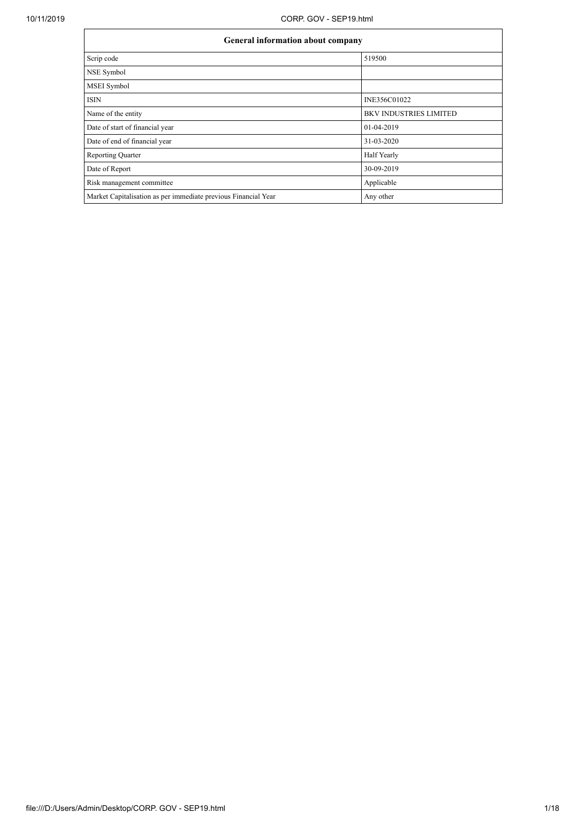| <b>General information about company</b>                       |                               |  |  |  |  |  |
|----------------------------------------------------------------|-------------------------------|--|--|--|--|--|
| Scrip code                                                     | 519500                        |  |  |  |  |  |
| NSE Symbol                                                     |                               |  |  |  |  |  |
| MSEI Symbol                                                    |                               |  |  |  |  |  |
| <b>ISIN</b>                                                    | INE356C01022                  |  |  |  |  |  |
| Name of the entity                                             | <b>BKV INDUSTRIES LIMITED</b> |  |  |  |  |  |
| Date of start of financial year                                | 01-04-2019                    |  |  |  |  |  |
| Date of end of financial year                                  | 31-03-2020                    |  |  |  |  |  |
| <b>Reporting Quarter</b>                                       | Half Yearly                   |  |  |  |  |  |
| Date of Report                                                 | 30-09-2019                    |  |  |  |  |  |
| Risk management committee                                      | Applicable                    |  |  |  |  |  |
| Market Capitalisation as per immediate previous Financial Year | Any other                     |  |  |  |  |  |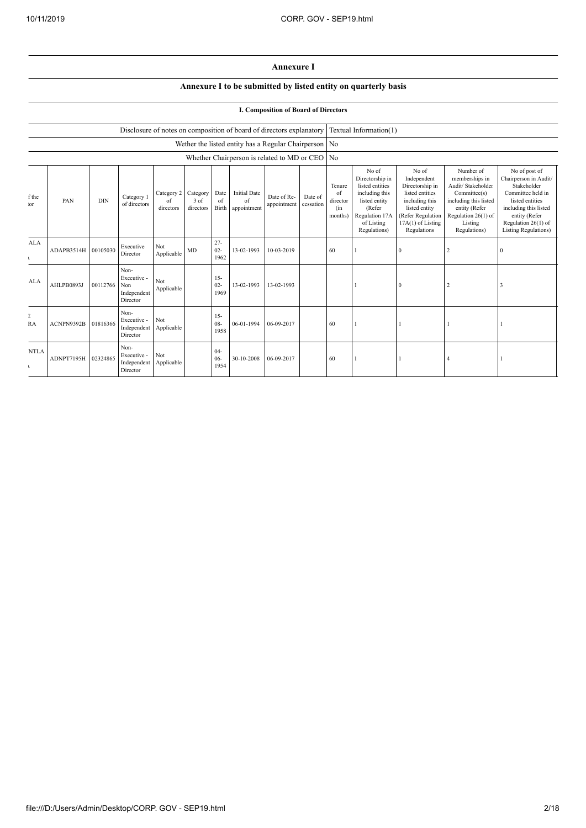## **Annexure I**

## **Annexure I to be submitted by listed entity on quarterly basis**

## **I. Composition of Board of Directors**

|                             |                     |            |                                                           |                               |                               |                          | Disclosure of notes on composition of board of directors explanatory |                            |                      |                                                    | Textual Information(1)                                                                                                                   |                                                                                                                                                        |                                                                                                                                                               |                                                                                                                                                                                                |
|-----------------------------|---------------------|------------|-----------------------------------------------------------|-------------------------------|-------------------------------|--------------------------|----------------------------------------------------------------------|----------------------------|----------------------|----------------------------------------------------|------------------------------------------------------------------------------------------------------------------------------------------|--------------------------------------------------------------------------------------------------------------------------------------------------------|---------------------------------------------------------------------------------------------------------------------------------------------------------------|------------------------------------------------------------------------------------------------------------------------------------------------------------------------------------------------|
|                             |                     |            |                                                           |                               |                               |                          | Wether the listed entity has a Regular Chairperson No                |                            |                      |                                                    |                                                                                                                                          |                                                                                                                                                        |                                                                                                                                                               |                                                                                                                                                                                                |
|                             |                     |            |                                                           |                               |                               |                          | Whether Chairperson is related to MD or CEO                          |                            |                      | N <sub>0</sub>                                     |                                                                                                                                          |                                                                                                                                                        |                                                                                                                                                               |                                                                                                                                                                                                |
| f the<br>`or                | PAN                 | <b>DIN</b> | Category 1<br>of directors                                | Category 2<br>of<br>directors | Category<br>3 of<br>directors | Date<br>of<br>Birth      | <b>Initial Date</b><br>of<br>appointment                             | Date of Re-<br>appointment | Date of<br>cessation | Tenure<br>$\alpha$ f<br>director<br>(in<br>months) | No of<br>Directorship in<br>listed entities<br>including this<br>listed entity<br>(Refer<br>Regulation 17A<br>of Listing<br>Regulations) | No of<br>Independent<br>Directorship in<br>listed entities<br>including this<br>listed entity<br>(Refer Regulation<br>17A(1) of Listing<br>Regulations | Number of<br>memberships in<br>Audit/ Stakeholder<br>Committee(s)<br>including this listed<br>entity (Refer<br>Regulation 26(1) of<br>Listing<br>Regulations) | No of post of<br>Chairperson in Audit/<br>Stakeholder<br>Committee held in<br>listed entities<br>including this listed<br>entity (Refer<br>Regulation 26(1) of<br><b>Listing Regulations</b> ) |
| AI.A<br>$\mathbf{r}$        | ADAPB3514H 00105030 |            | Executive<br>Director                                     | Not<br>Applicable             | MD                            | $27 -$<br>$02 -$<br>1962 | 13-02-1993                                                           | 10-03-2019                 |                      | 60                                                 |                                                                                                                                          | $\theta$                                                                                                                                               |                                                                                                                                                               | $\Omega$                                                                                                                                                                                       |
| A <sub>L</sub> A            | <b>AHLPB0893J</b>   | 00112766   | Non-<br>Executive -<br>Non<br>Independent<br>Director     | Not<br>Applicable             |                               | $15 -$<br>$02 -$<br>1969 | 13-02-1993                                                           | 13-02-1993                 |                      |                                                    |                                                                                                                                          | $\theta$                                                                                                                                               |                                                                                                                                                               |                                                                                                                                                                                                |
| Е<br>RA                     | ACNPN9392B          | 01816366   | Non-<br>Executive -<br>Independent Applicable<br>Director | Not                           |                               | $15 -$<br>$08 -$<br>1958 | 06-01-1994                                                           | 06-09-2017                 |                      | 60                                                 |                                                                                                                                          |                                                                                                                                                        |                                                                                                                                                               |                                                                                                                                                                                                |
| <b>NTLA</b><br>$\mathbf{r}$ | ADNPT7195H 02324865 |            | Non-<br>Executive -<br>Independent<br>Director            | Not<br>Applicable             |                               | $04-$<br>$06 -$<br>1954  | 30-10-2008                                                           | 06-09-2017                 |                      | 60                                                 |                                                                                                                                          |                                                                                                                                                        |                                                                                                                                                               |                                                                                                                                                                                                |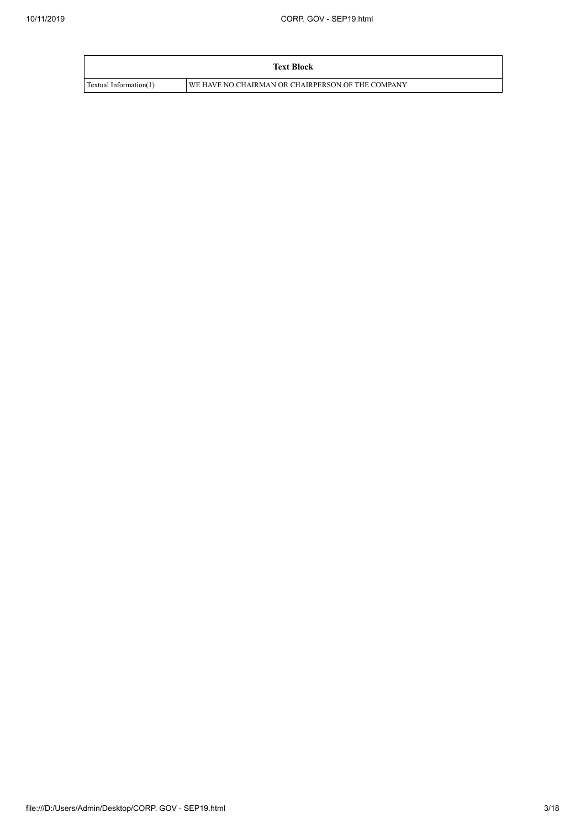|                        | <b>Text Block</b>                                 |
|------------------------|---------------------------------------------------|
| Textual Information(1) | WE HAVE NO CHAIRMAN OR CHAIRPERSON OF THE COMPANY |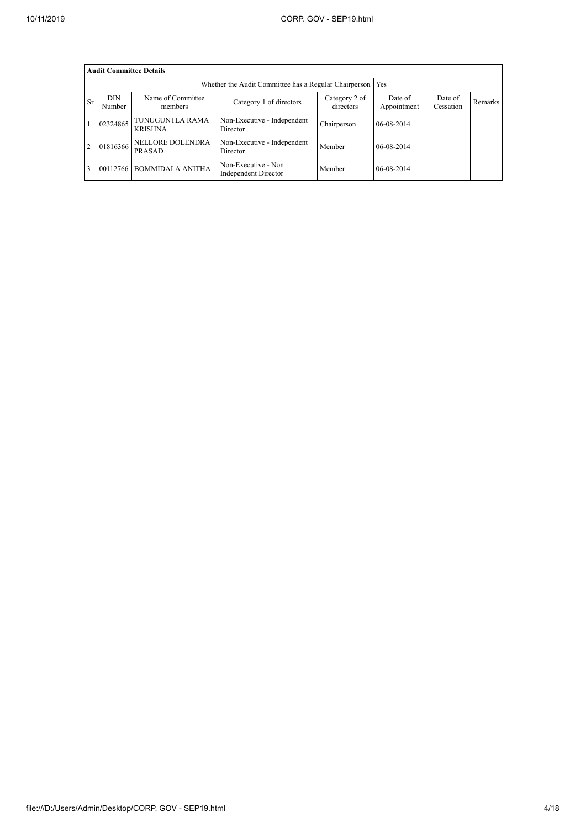|           | <b>Audit Committee Details</b> |                                   |                                                             |                            |                        |                      |         |  |  |  |
|-----------|--------------------------------|-----------------------------------|-------------------------------------------------------------|----------------------------|------------------------|----------------------|---------|--|--|--|
|           |                                |                                   | Whether the Audit Committee has a Regular Chairperson   Yes |                            |                        |                      |         |  |  |  |
| <b>Sr</b> | DIN.<br>Number                 | Name of Committee<br>members      | Category 1 of directors                                     | Category 2 of<br>directors | Date of<br>Appointment | Date of<br>Cessation | Remarks |  |  |  |
|           | 02324865                       | TUNUGUNTLA RAMA<br><b>KRISHNA</b> | Non-Executive - Independent<br>Director                     | Chairperson                | 06-08-2014             |                      |         |  |  |  |
|           | 01816366                       | NELLORE DOLENDRA<br><b>PRASAD</b> | Non-Executive - Independent<br>Director                     | Member                     | 06-08-2014             |                      |         |  |  |  |
|           | 00112766                       | <b>BOMMIDALA ANITHA</b>           | Non-Executive - Non<br>Independent Director                 | Member                     | 06-08-2014             |                      |         |  |  |  |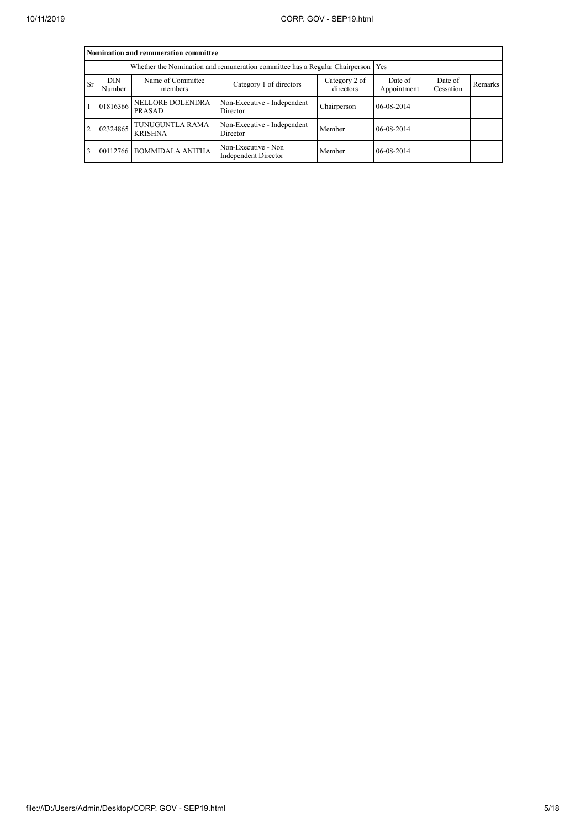|           | Nomination and remuneration committee                                                                         |                                   |                                                                                   |                        |                      |         |  |  |  |  |
|-----------|---------------------------------------------------------------------------------------------------------------|-----------------------------------|-----------------------------------------------------------------------------------|------------------------|----------------------|---------|--|--|--|--|
|           |                                                                                                               |                                   | Whether the Nomination and remuneration committee has a Regular Chairperson   Yes |                        |                      |         |  |  |  |  |
| <b>Sr</b> | Name of Committee<br><b>DIN</b><br>Category 2 of<br>Category 1 of directors<br>directors<br>Number<br>members |                                   |                                                                                   | Date of<br>Appointment | Date of<br>Cessation | Remarks |  |  |  |  |
|           | 01816366                                                                                                      | <b>NELLORE DOLENDRA</b><br>PRASAD | Non-Executive - Independent<br>Director                                           | Chairperson            | 06-08-2014           |         |  |  |  |  |
|           | 02324865                                                                                                      | TUNUGUNTLA RAMA<br><b>KRISHNA</b> | Non-Executive - Independent<br>Director                                           | Member                 | 06-08-2014           |         |  |  |  |  |
|           | 00112766                                                                                                      | <b>BOMMIDALA ANITHA</b>           | Non-Executive - Non<br>Independent Director                                       | Member                 | 06-08-2014           |         |  |  |  |  |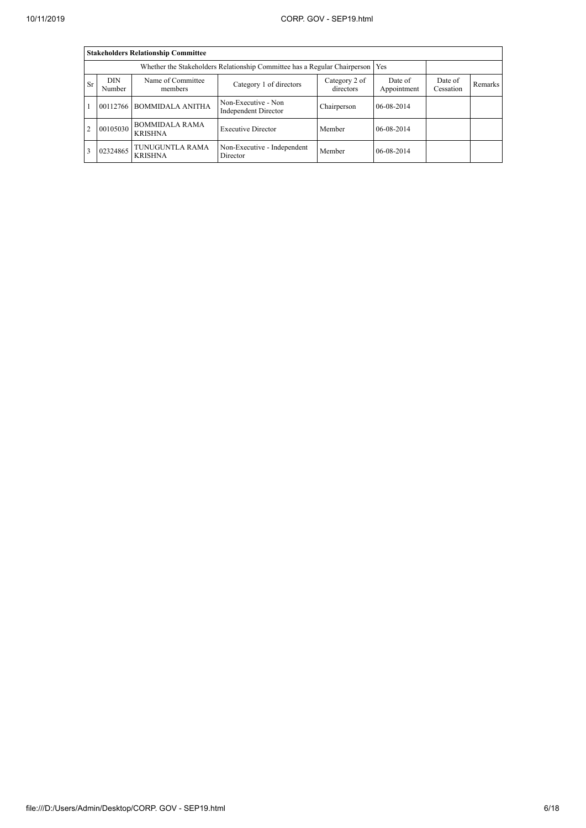|                |                                                                                                               | <b>Stakeholders Relationship Committee</b>                                      |                                             |                      |            |  |  |
|----------------|---------------------------------------------------------------------------------------------------------------|---------------------------------------------------------------------------------|---------------------------------------------|----------------------|------------|--|--|
|                |                                                                                                               | Whether the Stakeholders Relationship Committee has a Regular Chairperson   Yes |                                             |                      |            |  |  |
| <b>Sr</b>      | Name of Committee<br><b>DIN</b><br>Category 2 of<br>Category 1 of directors<br>directors<br>Number<br>members |                                                                                 | Date of<br>Appointment                      | Date of<br>Cessation | Remarks    |  |  |
|                | 00112766                                                                                                      | <b>BOMMIDALA ANITHA</b>                                                         | Non-Executive - Non<br>Independent Director | Chairperson          | 06-08-2014 |  |  |
| $\overline{2}$ | 00105030                                                                                                      | <b>BOMMIDALA RAMA</b><br><b>KRISHNA</b>                                         | <b>Executive Director</b>                   | Member               | 06-08-2014 |  |  |
|                | 02324865                                                                                                      | TUNUGUNTLA RAMA<br><b>KRISHNA</b>                                               | Non-Executive - Independent<br>Director     | Member               | 06-08-2014 |  |  |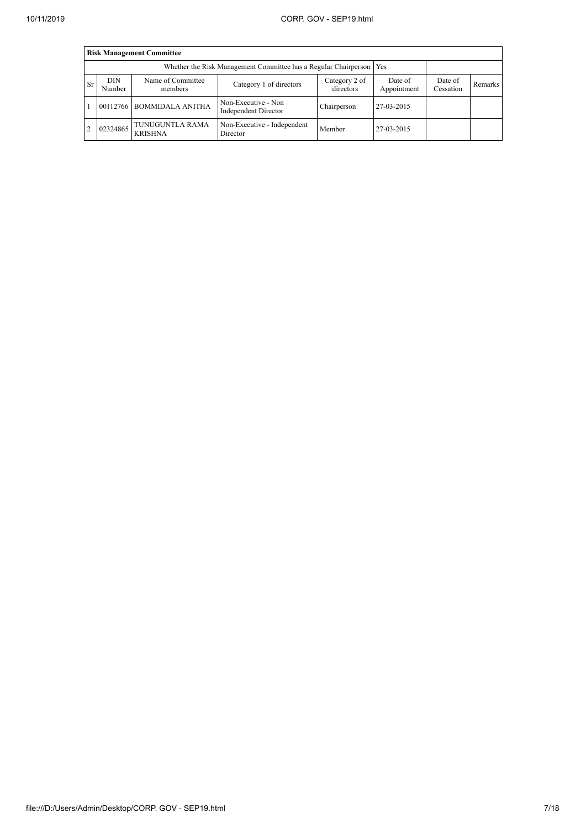|                | <b>Risk Management Committee</b> |                                                                       |                                             |                            |                        |                      |         |  |  |  |
|----------------|----------------------------------|-----------------------------------------------------------------------|---------------------------------------------|----------------------------|------------------------|----------------------|---------|--|--|--|
|                |                                  | Whether the Risk Management Committee has a Regular Chairperson   Yes |                                             |                            |                        |                      |         |  |  |  |
| <b>Sr</b>      | <b>DIN</b><br>Number             | Name of Committee<br>members                                          | Category 1 of directors                     | Category 2 of<br>directors | Date of<br>Appointment | Date of<br>Cessation | Remarks |  |  |  |
|                | 00112766                         | <b>BOMMIDALA ANITHA</b>                                               | Non-Executive - Non<br>Independent Director | Chairperson                | 27-03-2015             |                      |         |  |  |  |
| $\overline{2}$ | 02324865                         | TUNUGUNTLA RAMA<br><b>KRISHNA</b>                                     | Non-Executive - Independent<br>Director     | Member                     | 27-03-2015             |                      |         |  |  |  |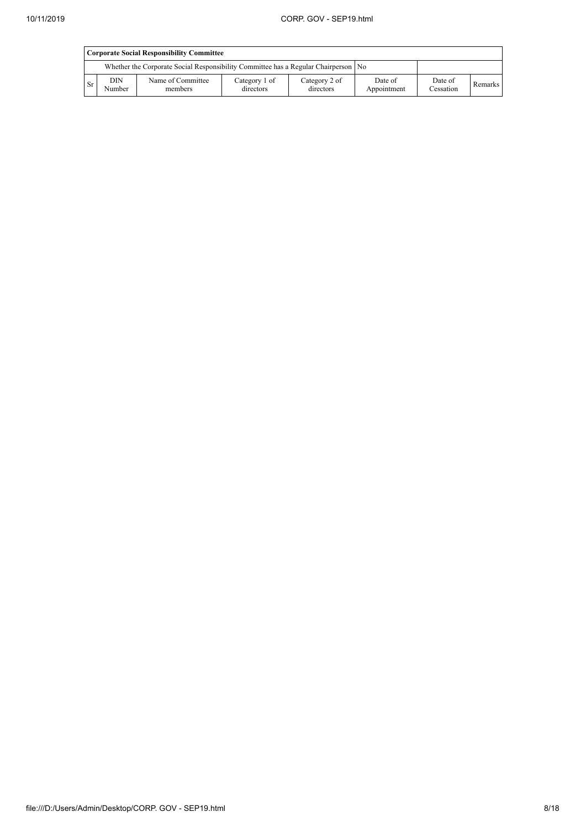|      | <b>Corporate Social Responsibility Committee</b> |                                                                                      |                            |                            |                        |                      |         |  |  |
|------|--------------------------------------------------|--------------------------------------------------------------------------------------|----------------------------|----------------------------|------------------------|----------------------|---------|--|--|
|      |                                                  | Whether the Corporate Social Responsibility Committee has a Regular Chairperson   No |                            |                            |                        |                      |         |  |  |
| ' Sr | <b>DIN</b><br>Number                             | Name of Committee<br>members                                                         | Category 1 of<br>directors | Category 2 of<br>directors | Date of<br>Appointment | Date of<br>Cessation | Remarks |  |  |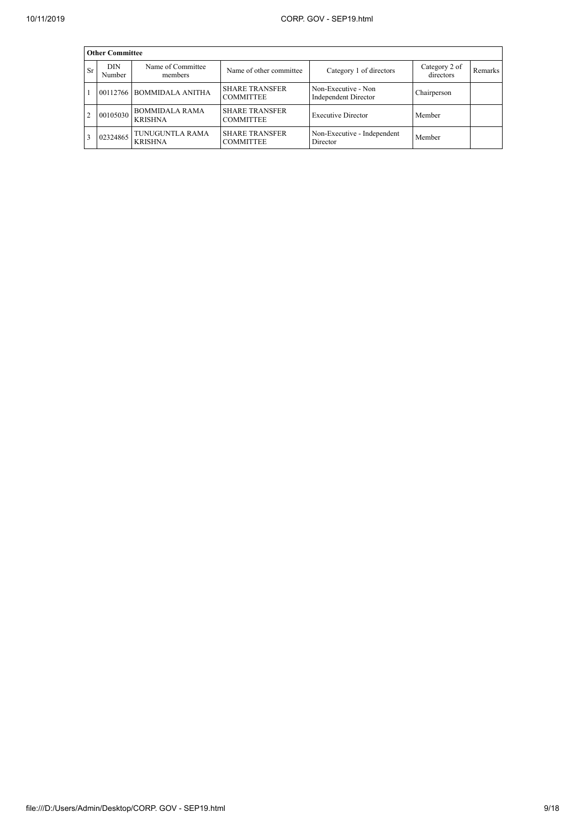|           | <b>Other Committee</b> |                                         |                                           |                                                    |                            |         |  |  |  |  |
|-----------|------------------------|-----------------------------------------|-------------------------------------------|----------------------------------------------------|----------------------------|---------|--|--|--|--|
| <b>Sr</b> | <b>DIN</b><br>Number   | Name of Committee<br>members            | Name of other committee                   | Category 1 of directors                            | Category 2 of<br>directors | Remarks |  |  |  |  |
|           |                        | 00112766 BOMMIDALA ANITHA               | <b>SHARE TRANSFER</b><br><b>COMMITTEE</b> | Non-Executive - Non<br><b>Independent Director</b> | Chairperson                |         |  |  |  |  |
|           | 00105030               | <b>BOMMIDALA RAMA</b><br><b>KRISHNA</b> | <b>SHARE TRANSFER</b><br><b>COMMITTEE</b> | <b>Executive Director</b>                          | Member                     |         |  |  |  |  |
|           | 02324865               | TUNUGUNTLA RAMA<br><b>KRISHNA</b>       | <b>SHARE TRANSFER</b><br><b>COMMITTEE</b> | Non-Executive - Independent<br>Director            | Member                     |         |  |  |  |  |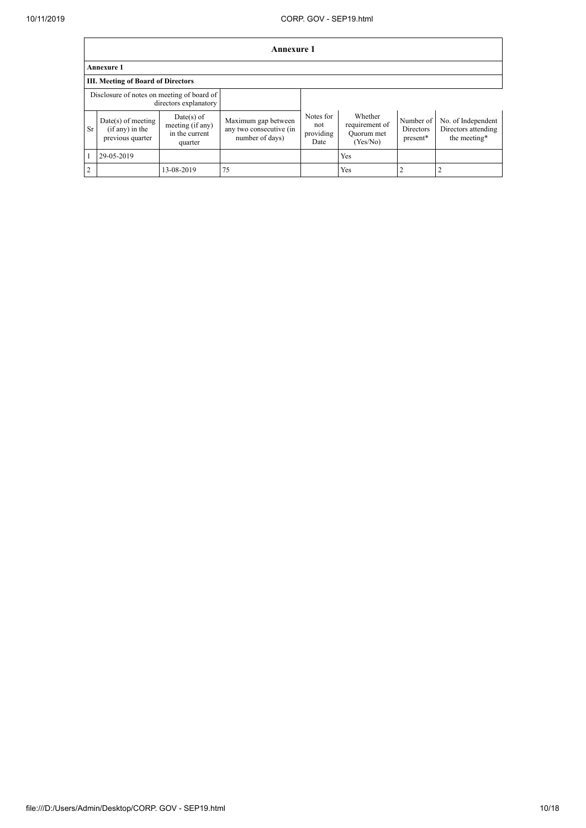$\Gamma$ 

٦

|    | Annexure 1                                                    |                                                               |                                                                   |                                       |                                                     |                                    |                                                           |  |  |
|----|---------------------------------------------------------------|---------------------------------------------------------------|-------------------------------------------------------------------|---------------------------------------|-----------------------------------------------------|------------------------------------|-----------------------------------------------------------|--|--|
|    | <b>Annexure 1</b>                                             |                                                               |                                                                   |                                       |                                                     |                                    |                                                           |  |  |
|    | <b>III.</b> Meeting of Board of Directors                     |                                                               |                                                                   |                                       |                                                     |                                    |                                                           |  |  |
|    | Disclosure of notes on meeting of board of                    | directors explanatory                                         |                                                                   |                                       |                                                     |                                    |                                                           |  |  |
| Sr | $Date(s)$ of meeting<br>$(if any)$ in the<br>previous quarter | $Date(s)$ of<br>meeting (if any)<br>in the current<br>quarter | Maximum gap between<br>any two consecutive (in<br>number of days) | Notes for<br>not<br>providing<br>Date | Whether<br>requirement of<br>Quorum met<br>(Yes/No) | Number of<br>Directors<br>present* | No. of Independent<br>Directors attending<br>the meeting* |  |  |
|    | 29-05-2019                                                    |                                                               |                                                                   |                                       | <b>Yes</b>                                          |                                    |                                                           |  |  |
| 2  |                                                               | 13-08-2019                                                    | 75                                                                |                                       | Yes                                                 | $\overline{2}$                     |                                                           |  |  |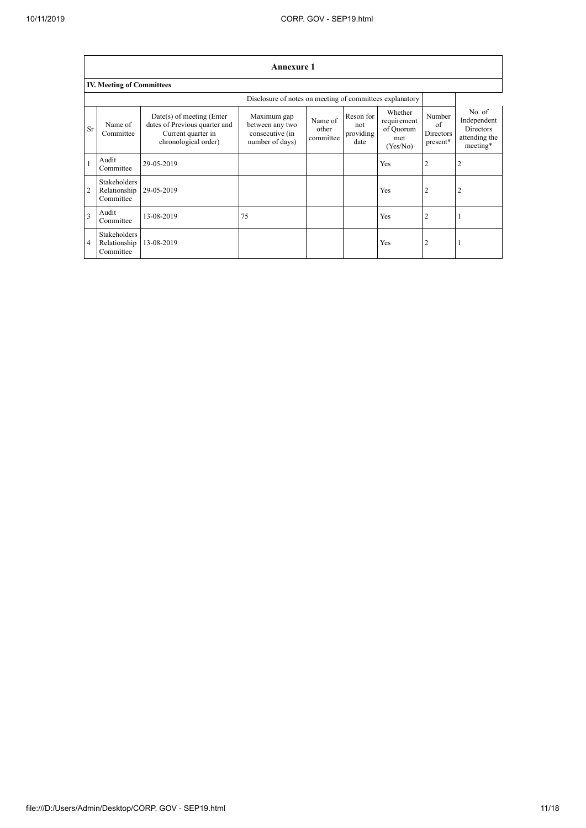$\overline{\phantom{a}}$ 

|                | <b>Annexure 1</b>                                        |                                                                                                            |                                                                      |                               |                                       |                                                        |                                       |                                                                        |  |
|----------------|----------------------------------------------------------|------------------------------------------------------------------------------------------------------------|----------------------------------------------------------------------|-------------------------------|---------------------------------------|--------------------------------------------------------|---------------------------------------|------------------------------------------------------------------------|--|
|                | <b>IV. Meeting of Committees</b>                         |                                                                                                            |                                                                      |                               |                                       |                                                        |                                       |                                                                        |  |
|                | Disclosure of notes on meeting of committees explanatory |                                                                                                            |                                                                      |                               |                                       |                                                        |                                       |                                                                        |  |
| Sr             | Name of<br>Committee                                     | $Date(s)$ of meeting (Enter<br>dates of Previous quarter and<br>Current quarter in<br>chronological order) | Maximum gap<br>between any two<br>consecutive (in<br>number of days) | Name of<br>other<br>committee | Reson for<br>not<br>providing<br>date | Whether<br>requirement<br>of Quorum<br>met<br>(Yes/No) | Number<br>of<br>Directors<br>present* | No. of<br>Independent<br><b>Directors</b><br>attending the<br>meeting* |  |
|                | Audit<br>Committee                                       | 29-05-2019                                                                                                 |                                                                      |                               |                                       | <b>Yes</b>                                             | 2                                     | 2                                                                      |  |
| $\overline{2}$ | <b>Stakeholders</b><br>Relationship<br>Committee         | 29-05-2019                                                                                                 |                                                                      |                               |                                       | <b>Yes</b>                                             | 2                                     | 2                                                                      |  |
| 3              | Audit<br>Committee                                       | 13-08-2019                                                                                                 | 75                                                                   |                               |                                       | <b>Yes</b>                                             | $\overline{2}$                        |                                                                        |  |
| $\overline{4}$ | Stakeholders<br>Relationship<br>Committee                | 13-08-2019                                                                                                 |                                                                      |                               |                                       | <b>Yes</b>                                             | 2                                     |                                                                        |  |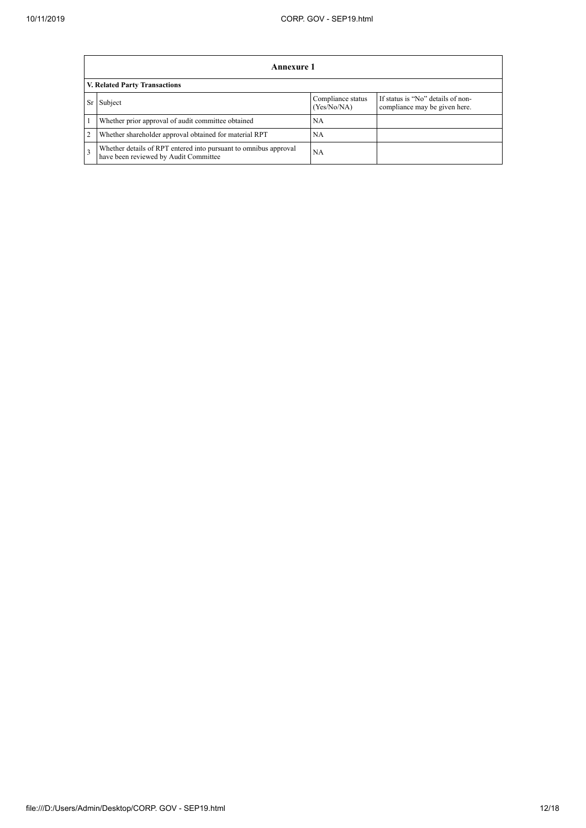|   | Annexure 1                                                                                                |                                  |                                                                    |  |  |  |  |  |
|---|-----------------------------------------------------------------------------------------------------------|----------------------------------|--------------------------------------------------------------------|--|--|--|--|--|
|   | V. Related Party Transactions                                                                             |                                  |                                                                    |  |  |  |  |  |
|   | Subject                                                                                                   | Compliance status<br>(Yes/No/NA) | If status is "No" details of non-<br>compliance may be given here. |  |  |  |  |  |
|   | Whether prior approval of audit committee obtained                                                        | NА                               |                                                                    |  |  |  |  |  |
| 2 | Whether shareholder approval obtained for material RPT                                                    | NA                               |                                                                    |  |  |  |  |  |
| 3 | Whether details of RPT entered into pursuant to omnibus approval<br>have been reviewed by Audit Committee | <b>NA</b>                        |                                                                    |  |  |  |  |  |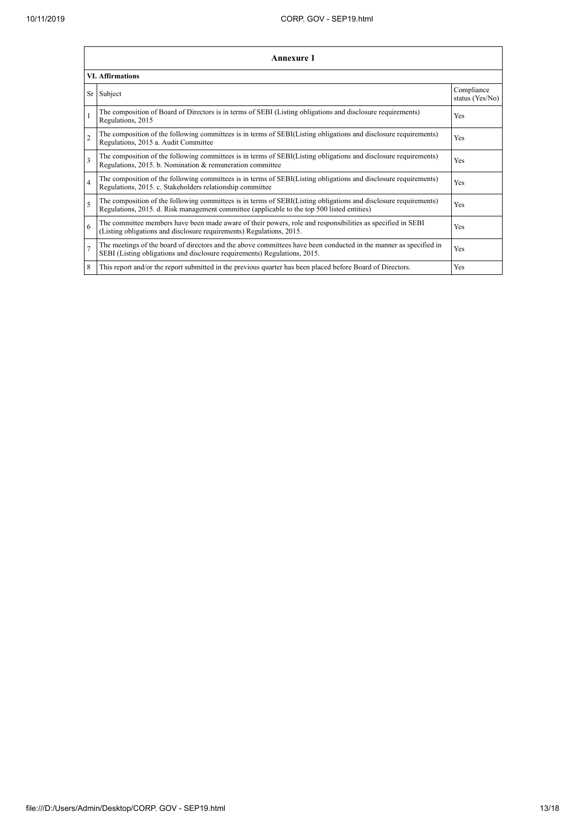|                | <b>Annexure 1</b><br><b>VI. Affirmations</b>                                                                                                                                                                    |                               |  |  |  |
|----------------|-----------------------------------------------------------------------------------------------------------------------------------------------------------------------------------------------------------------|-------------------------------|--|--|--|
|                |                                                                                                                                                                                                                 |                               |  |  |  |
| Sr             | Subject                                                                                                                                                                                                         | Compliance<br>status (Yes/No) |  |  |  |
|                | The composition of Board of Directors is in terms of SEBI (Listing obligations and disclosure requirements)<br>Regulations, 2015                                                                                | Yes                           |  |  |  |
| $\overline{2}$ | The composition of the following committees is in terms of SEBI(Listing obligations and disclosure requirements)<br>Regulations, 2015 a. Audit Committee                                                        | Yes                           |  |  |  |
| 3              | The composition of the following committees is in terms of SEBI(Listing obligations and disclosure requirements)<br>Regulations, 2015. b. Nomination & remuneration committee                                   | Yes                           |  |  |  |
| $\overline{4}$ | The composition of the following committees is in terms of SEBI(Listing obligations and disclosure requirements)<br>Regulations, 2015. c. Stakeholders relationship committee                                   | Yes                           |  |  |  |
| 5              | The composition of the following committees is in terms of SEBI(Listing obligations and disclosure requirements)<br>Regulations, 2015. d. Risk management committee (applicable to the top 500 listed entities) | Yes                           |  |  |  |
| 6              | The committee members have been made aware of their powers, role and responsibilities as specified in SEBI<br>(Listing obligations and disclosure requirements) Regulations, 2015.                              | Yes                           |  |  |  |
| $\overline{7}$ | The meetings of the board of directors and the above committees have been conducted in the manner as specified in<br>SEBI (Listing obligations and disclosure requirements) Regulations, 2015.                  | Yes                           |  |  |  |
| 8              | This report and/or the report submitted in the previous quarter has been placed before Board of Directors.                                                                                                      | Yes                           |  |  |  |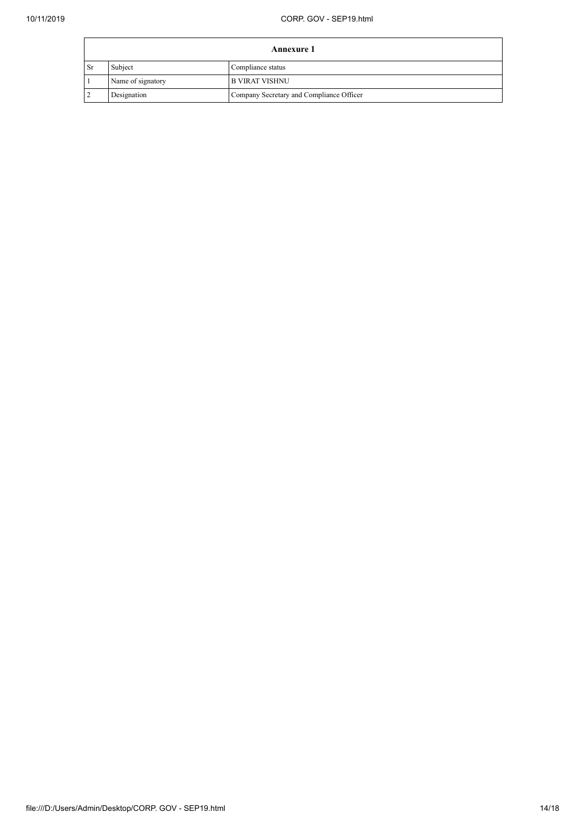| <b>Annexure 1</b> |                   |                                          |  |  |
|-------------------|-------------------|------------------------------------------|--|--|
| Sr                | Subject           | Compliance status                        |  |  |
|                   | Name of signatory | <b>B VIRAT VISHNU</b>                    |  |  |
|                   | Designation       | Company Secretary and Compliance Officer |  |  |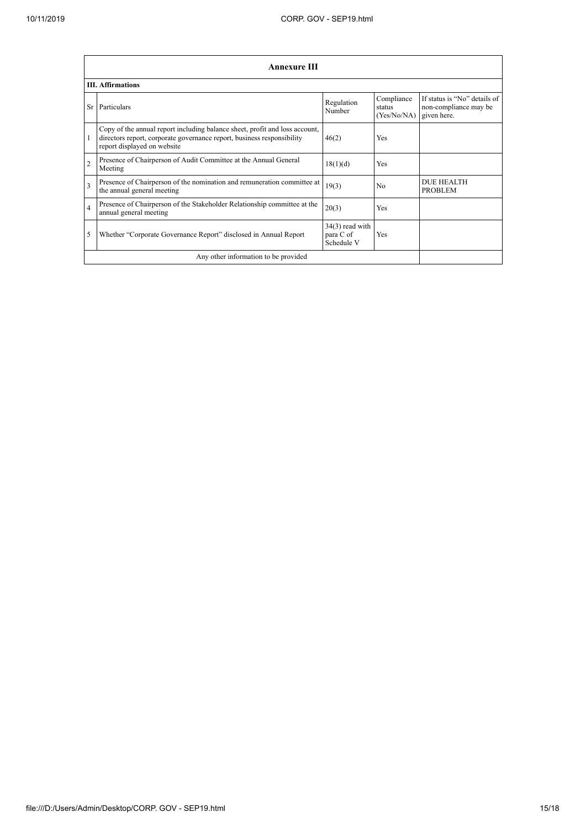|                | <b>Annexure III</b><br><b>III.</b> Affirmations                                                                                                                                      |                                              |                                     |                                                                      |  |  |
|----------------|--------------------------------------------------------------------------------------------------------------------------------------------------------------------------------------|----------------------------------------------|-------------------------------------|----------------------------------------------------------------------|--|--|
|                |                                                                                                                                                                                      |                                              |                                     |                                                                      |  |  |
| Sr             | Particulars                                                                                                                                                                          | Regulation<br>Number                         | Compliance<br>status<br>(Yes/No/NA) | If status is "No" details of<br>non-compliance may be<br>given here. |  |  |
| 1              | Copy of the annual report including balance sheet, profit and loss account,<br>directors report, corporate governance report, business responsibility<br>report displayed on website | 46(2)                                        | Yes                                 |                                                                      |  |  |
| $\overline{2}$ | Presence of Chairperson of Audit Committee at the Annual General<br>Meeting                                                                                                          | 18(1)(d)                                     | Yes                                 |                                                                      |  |  |
| $\overline{3}$ | Presence of Chairperson of the nomination and remuneration committee at<br>the annual general meeting                                                                                | 19(3)                                        | N <sub>0</sub>                      | <b>DUE HEALTH</b><br><b>PROBLEM</b>                                  |  |  |
| $\overline{4}$ | Presence of Chairperson of the Stakeholder Relationship committee at the<br>annual general meeting                                                                                   | 20(3)                                        | Yes                                 |                                                                      |  |  |
| 5              | Whether "Corporate Governance Report" disclosed in Annual Report                                                                                                                     | $34(3)$ read with<br>para C of<br>Schedule V | Yes                                 |                                                                      |  |  |
|                | Any other information to be provided                                                                                                                                                 |                                              |                                     |                                                                      |  |  |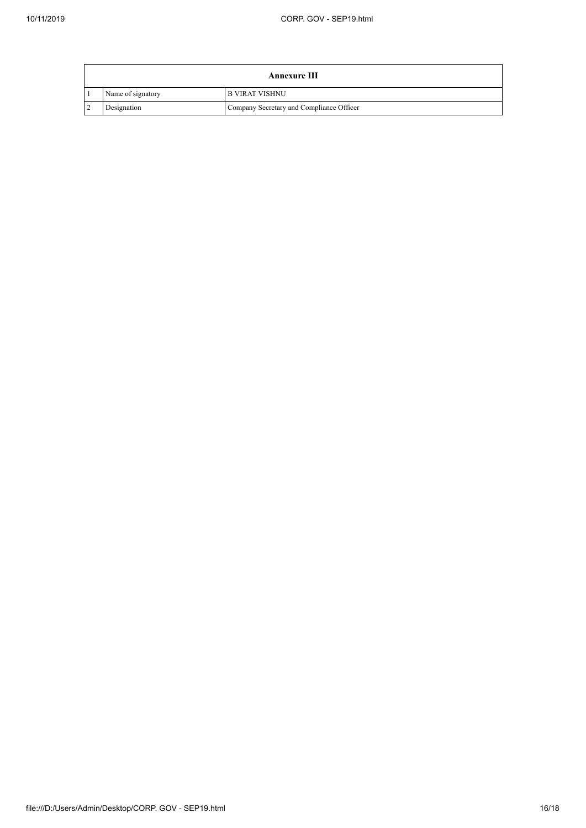| Annexure III |                   |                                          |  |  |
|--------------|-------------------|------------------------------------------|--|--|
|              | Name of signatory | <b>IB VIRAT VISHNU</b>                   |  |  |
|              | Designation       | Company Secretary and Compliance Officer |  |  |